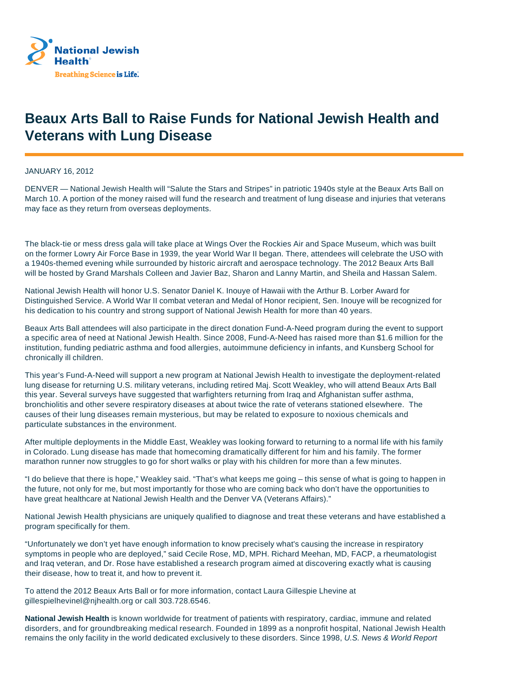

## **Beaux Arts Ball to Raise Funds for National Jewish Health and Veterans with Lung Disease**

JANUARY 16, 2012

DENVER — National Jewish Health will "Salute the Stars and Stripes" in patriotic 1940s style at the Beaux Arts Ball on March 10. A portion of the money raised will fund the research and treatment of lung disease and injuries that veterans may face as they return from overseas deployments.

The black-tie or mess dress gala will take place at Wings Over the Rockies Air and Space Museum, which was built on the former Lowry Air Force Base in 1939, the year World War II began. There, attendees will celebrate the USO with a 1940s-themed evening while surrounded by historic aircraft and aerospace technology. The 2012 Beaux Arts Ball will be hosted by Grand Marshals Colleen and Javier Baz, Sharon and Lanny Martin, and Sheila and Hassan Salem.

National Jewish Health will honor U.S. Senator Daniel K. Inouye of Hawaii with the Arthur B. Lorber Award for Distinguished Service. A World War II combat veteran and Medal of Honor recipient, Sen. Inouye will be recognized for his dedication to his country and strong support of National Jewish Health for more than 40 years.

Beaux Arts Ball attendees will also participate in the direct donation Fund-A-Need program during the event to support a specific area of need at National Jewish Health. Since 2008, Fund-A-Need has raised more than \$1.6 million for the institution, funding pediatric asthma and food allergies, autoimmune deficiency in infants, and Kunsberg School for chronically ill children.

This year's Fund-A-Need will support a new program at National Jewish Health to investigate the deployment-related lung disease for returning U.S. military veterans, including retired Maj. Scott Weakley, who will attend Beaux Arts Ball this year. Several surveys have suggested that warfighters returning from Iraq and Afghanistan suffer asthma, bronchiolitis and other severe respiratory diseases at about twice the rate of veterans stationed elsewhere. The causes of their lung diseases remain mysterious, but may be related to exposure to noxious chemicals and particulate substances in the environment.

After multiple deployments in the Middle East, Weakley was looking forward to returning to a normal life with his family in Colorado. Lung disease has made that homecoming dramatically different for him and his family. The former marathon runner now struggles to go for short walks or play with his children for more than a few minutes.

"I do believe that there is hope," Weakley said. "That's what keeps me going – this sense of what is going to happen in the future, not only for me, but most importantly for those who are coming back who don't have the opportunities to have great healthcare at National Jewish Health and the Denver VA (Veterans Affairs)."

National Jewish Health physicians are uniquely qualified to diagnose and treat these veterans and have established a program specifically for them.

"Unfortunately we don't yet have enough information to know precisely what's causing the increase in respiratory symptoms in people who are deployed," said Cecile Rose, MD, MPH. Richard Meehan, MD, FACP, a rheumatologist and Iraq veteran, and Dr. Rose have established a research program aimed at discovering exactly what is causing their disease, how to treat it, and how to prevent it.

To attend the 2012 Beaux Arts Ball or for more information, contact Laura Gillespie Lhevine at gillespielhevinel@njhealth.org or call 303.728.6546.

**National Jewish Health** is known worldwide for treatment of patients with respiratory, cardiac, immune and related disorders, and for groundbreaking medical research. Founded in 1899 as a nonprofit hospital, National Jewish Health remains the only facility in the world dedicated exclusively to these disorders. Since 1998, U.S. News & World Report